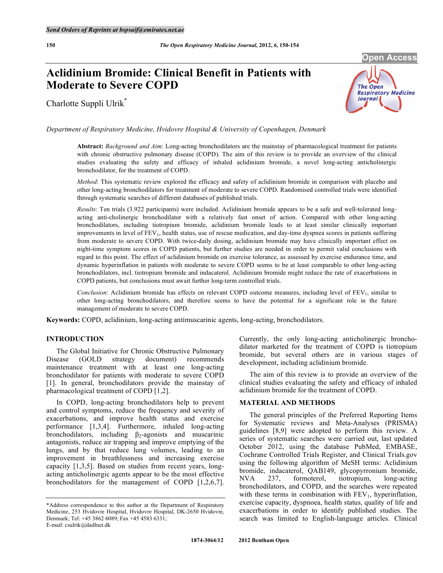# **Aclidinium Bromide: Clinical Benefit in Patients with Moderate to Severe COPD**

Charlotte Suppli Ulrik\*



*Department of Respiratory Medicine, Hvidovre Hospital & University of Copenhagen, Denmark* 

**Abstract:** *Background and Aim*: Long-acting bronchodilators are the mainstay of pharmacological treatment for patients with chronic obstructive pulmonary disease (COPD). The aim of this review is to provide an overview of the clinical studies evaluating the safety and efficacy of inhaled aclidinium bromide, a novel long-acting anticholinergic bronchodilator, for the treatment of COPD.

*Method*: This systematic review explored the efficacy and safety of aclidinium bromide in comparison with placebo and other long-acting bronchodilators for treatment of moderate to severe COPD. Randomised controlled trials were identified through systematic searches of different databases of published trials.

*Results*: Ten trials (3.922 participants) were included. Aclidinium bromide appears to be a safe and well-tolerated longacting anti-cholinergic bronchodilator with a relatively fast onset of action. Compared with other long-acting bronchodilators, including tiotropium bromide, aclidinium bromide leads to at least similar clinically important improvements in level of FEV<sub>1</sub>, health status, use of rescue medication, and day-time dyspnea scores in patients suffering from moderate to severe COPD. With twice-daily dosing, aclidinium bromide may have clinically important effect on night-time symptom scores in COPD patients, but further studies are needed in order to permit valid conclusions with regard to this point. The effect of aclidinium bromide on exercise tolerance, as assessed by exercise endurance time, and dynamic hyperinflation in patients with moderate to severe COPD seems to be at least comparable to other long-acting bronchodilators, incl. tiotropium bromide and indacaterol. Aclidinium bromide might reduce the rate of exacerbations in COPD patients, but conclusions must await further long-term controlled trials.

*Conclusion*: Aclidinium bromide has effects on relevant COPD outcome measures, including level of FEV<sub>1</sub>, similar to other long-acting bronchodilators, and therefore seems to have the potential for a significant role in the future management of moderate to severe COPD.

**Keywords:** COPD, aclidinium, long-acting antimuscarinic agents, long-acting, bronchodilators.

## **INTRODUCTION**

 The Global Initiative for Chronic Obstructive Pulmonary Disease (GOLD strategy document) recommends maintenance treatment with at least one long-acting bronchodilator for patients with moderate to severe COPD [1]. In general, bronchodilators provide the mainstay of pharmacological treatment of COPD [1,2].

 In COPD, long-acting bronchodilators help to prevent and control symptoms, reduce the frequency and severity of exacerbations, and improve health status and exercise performance [1,3,4]. Furthermore, inhaled long-acting bronchodilators, including  $\beta_2$ -agonists and muscarinic antagonists, reduce air trapping and improve emptying of the lungs, and by that reduce lung volumes, leading to an improvement in breathlessness and increasing exercise capacity [1,3,5]. Based on studies from recent years, longacting anticholinergic agents appear to be the most effective bronchodilators for the management of COPD [1,2,6,7].

Currently, the only long-acting anticholinergic bronchodilator marketed for the treatment of COPD is tiotropium bromide, but several others are in various stages of development, including aclidinium bromide.

 The aim of this review is to provide an overview of the clinical studies evaluating the safety and efficacy of inhaled aclidinium bromide for the treatment of COPD.

## **MATERIAL AND METHODS**

 The general principles of the Preferred Reporting Items for Systematic reviews and Meta-Analyses (PRISMA) guidelines [8,9] were adopted to perform this review. A series of systematic searches were carried out, last updated October 2012, using the database PubMed, EMBASE, Cochrane Controlled Trials Register, and Clinical Trials.gov using the following algorithm of MeSH terms: Aclidinium bromide, indacaterol, QAB149, glycopyrronium bromide, NVA 237, formoterol, tiotropium, long-acting bronchodilators, and COPD, and the searches were repeated with these terms in combination with  $FEV<sub>1</sub>$ , hyperinflation, exercise capacity, dyspnoea, health status, quality of life and exacerbations in order to identify published studies. The search was limited to English-language articles. Clinical

<sup>\*</sup>Address correspondence to this author at the Department of Respiratory Medicine, 253 Hvidovre Hospital, Hvidovre Hospital, DK-2650 Hvidovre, Denmark; Tel: +45 3862 6089; Fax +45 4583 6331; E-mail: csulrik@dadlnet.dk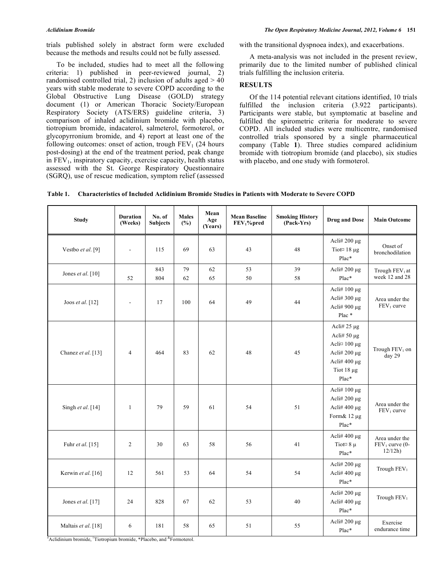trials published solely in abstract form were excluded because the methods and results could not be fully assessed.

 To be included, studies had to meet all the following criteria: 1) published in peer-reviewed journal, 2) randomised controlled trial, 2) inclusion of adults aged  $> 40$ years with stable moderate to severe COPD according to the Global Obstructive Lung Disease (GOLD) strategy document (1) or American Thoracic Society/European Respiratory Society (ATS/ERS) guideline criteria, 3) comparison of inhaled aclidinium bromide with placebo, tiotropium bromide, indacaterol, salmeterol, formoterol, or glycopyrronium bromide, and 4) report at least one of the following outcomes: onset of action, trough  $FEV<sub>1</sub>$  (24 hours post-dosing) at the end of the treatment period, peak change in  $FEV<sub>1</sub>$ , inspiratory capacity, exercise capacity, health status assessed with the St. George Respiratory Questionnaire (SGRQ), use of rescue medication, symptom relief (assessed

with the transitional dyspnoea index), and exacerbations.

 A meta-analysis was not included in the present review, primarily due to the limited number of published clinical trials fulfilling the inclusion criteria.

## **RESULTS**

 Of the 114 potential relevant citations identified, 10 trials fulfilled the inclusion criteria (3.922 participants). Participants were stable, but symptomatic at baseline and fulfilled the spirometric criteria for moderate to severe COPD. All included studies were multicentre, randomised controlled trials sponsored by a single pharmaceutical company (Table **1**). Three studies compared aclidinium bromide with tiotropium bromide (and placebo), six studies with placebo, and one study with formoterol.

**Table 1. Characteristics of Included Aclidinium Bromide Studies in Patients with Moderate to Severe COPD** 

| <b>Study</b>        | <b>Duration</b><br>(Weeks) | No. of<br><b>Subjects</b> | <b>Males</b><br>(%) | Mean<br>Age<br>(Years) | <b>Mean Baseline</b><br>$FEV1$ %pred | <b>Smoking History</b><br>(Pack-Yrs) | <b>Drug and Dose</b>                                                                                                          | <b>Main Outcome</b>                          |
|---------------------|----------------------------|---------------------------|---------------------|------------------------|--------------------------------------|--------------------------------------|-------------------------------------------------------------------------------------------------------------------------------|----------------------------------------------|
| Vestbo et al. [9]   | $\overline{\phantom{a}}$   | 115                       | 69                  | 63                     | 43                                   | 48                                   | Acli# $200 \mu g$<br>Tiot <sup>¤</sup> 18 μg<br>Plac*                                                                         | Onset of<br>bronchodilation                  |
| Jones et al. $[10]$ | 52                         | 843<br>804                | 79<br>62            | 62<br>65               | 53<br>50                             | 39<br>58                             | Acli# $200 \mu g$<br>Plac*                                                                                                    | Trough FEV <sub>1</sub> at<br>week 12 and 28 |
| Joos et al. [12]    | $\blacksquare$             | 17                        | 100                 | 64                     | 49                                   | 44                                   | Acli# 100 μg<br>Acli# $300 \mu g$<br>Acli# $900 \mu g$<br>Plac <sup>*</sup>                                                   | Area under the<br>FEV <sub>1</sub> curve     |
| Chanez et al. [13]  | $\overline{4}$             | 464                       | 83                  | 62                     | 48                                   | 45                                   | Acli# $25 \mu g$<br>Acli# $50 \mu$ g<br>Acli $\alpha$ 100 µg<br>Acli# $200 \mu$ g<br>Acli# 400 μg<br>Tiot $18 \mu g$<br>Plac* | Trough FEV <sub>1</sub> on<br>day 29         |
| Singh et al. [14]   | $\mathbf{1}$               | 79                        | 59                  | 61                     | 54                                   | 51                                   | Acli# $100 \mu g$<br>Acli# $200 \mu$ g<br>Acli# $400 \mu$ g<br>Form& 12 µg<br>Plac*                                           | Area under the<br>FEV <sub>1</sub> curve     |
| Fuhr et al. [15]    | $\overline{2}$             | 30                        | 63                  | 58                     | 56                                   | 41                                   | Acli# $400 \mu$ g<br>Tiot $\alpha$ 8 $\mu$<br>Plac*                                                                           | Area under the<br>$FEV1 curve (0-$<br>12/12h |
| Kerwin et al. [16]  | 12                         | 561                       | 53                  | 64                     | 54                                   | 54                                   | Acli# $200 \mu g$<br>Acli# $400 \mu g$<br>Plac*                                                                               | Trough FEV <sub>1</sub>                      |
| Jones et al. [17]   | 24                         | 828                       | 67                  | 62                     | 53                                   | 40                                   | Acli# $200 \mu g$<br>Acli# $400 \mu g$<br>Plac*                                                                               | Trough FEV <sub>1</sub>                      |
| Maltais et al. [18] | 6                          | 181                       | 58                  | 65                     | 51                                   | 55                                   | Acli# $200 \mu g$<br>Plac*                                                                                                    | Exercise<br>endurance time                   |

# Aclidinium bromide, ¤ Tiotropium bromide, \*Placebo, and &Formoterol.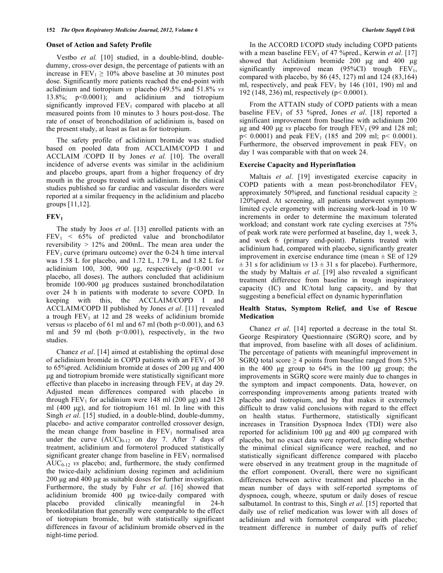#### **Onset of Action and Safety Profile**

 Vestbo *et al.* [10] studied, in a double-blind, doubledummy, cross-over design, the percentage of patients with an increase in  $FEV_1 \ge 10\%$  above baseline at 30 minutes post dose. Significantly more patients reached the end-point with aclidinium and tiotropium *vs* placebo (49.5% and 51.8% *vs* 13.8%; p<0.0001); and aclidinium and tiotropium significantly improved  $FEV_1$  compared with placebo at all measured points from 10 minutes to 3 hours post-dose. The rate of onset of bronchodilation of aclidinium is, based on the present study, at least as fast as for tiotropium.

 The safety profile of aclidinium bromide was studied based on pooled data from ACCLAIM/COPD I and ACCLAIM /COPD II by Jones *et al.* [10]. The overall incidence of adverse events was similar in the aclidinium and placebo groups, apart from a higher frequency of dry mouth in the groups treated with aclidinium. In the clinical studies published so far cardiac and vascular disorders were reported at a similar frequency in the aclidinium and placebo groups [11,12].

#### $FEV<sub>1</sub>$

 The study by Joos *et al*. [13] enrolled patients with an  $FEV<sub>1</sub> < 65%$  of predicted value and bronchodilator reversibility > 12% and 200mL. The mean area under the  $FEV<sub>1</sub>$  curve (primaru outcome) over the 0-24 h time interval was 1.58 L for placebo, and 1.72 L, 1.79 L, and 1.82 L for aclidinium 100, 300, 900 μg, respectively (p<0.001 *vs* placebo, all doses). The authors concluded that aclidinium bromide 100-900 μg produces sustained bronchodilatation over 24 h in patients with moderate to severe COPD. In keeping with this, the ACCLAIM/COPD I and ACCLAIM/COPD II published by Jones *et al*. [11] revealed a trough  $FEV<sub>1</sub>$  at 12 and 28 weeks of aclidinium bromide versus *vs* placebo of 61 ml and 67 ml (both  $p<0.001$ ), and 63 ml and 59 ml (both  $p<0.001$ ), respectively, in the two studies.

 Chanez *et al*. [14] aimed at establishing the optimal dose of aclidinium bromide in COPD patients with an  $FEV<sub>1</sub>$  of 30 to 65%pred. Aclidinium bromide at doses of 200 μg and 400 μg and tiotropium bromide were statistically significant more effective than placebo in increasing through  $FEV<sub>1</sub>$  at day 29. Adjusted mean differences compared with placebo in through FEV<sub>1</sub> for aclidinium were 148 ml (200 μg) and 128 ml (400 μg), and for tiotropium 161 ml. In line with this Singh *et al*. [15] studied, in a double-blind, double-dummy, placebo- and active comparator controlled crossover design, the mean change from baseline in  $FEV<sub>1</sub>$  normalised area under the curve  $(AUC)_{0-12}$  on day 7. After 7 days of treatment, aclidinium and formoterol produced statistically significant greater change from baseline in  $FEV<sub>1</sub>$  normalised  $AUC_{0-12}$  *vs* placebo; and, furthermore, the study confirmed the twice-daily aclidinium dosing regimen and aclidinium 200 μg and 400 μg as suitable doses for further investigation. Furthermore, the study by Fuhr *et al*. [16] showed that aclidinium bromide 400 μg twice-daily compared with placebo provided clinically meaningful in 24-h bronkodilatation that generally were comparable to the effect of tiotropium bromide, but with statistically significant differences in favour of aclidinium bromide observed in the night-time period.

 In the ACCORD I/COPD study including COPD patients with a mean baseline FEV<sub>1</sub> of 47 % pred., Kerwin *et al.* [17] showed that Aclidinium bromide 200 μg and 400 μg significantly improved mean  $(95\%CI)$  trough  $FEV<sub>1</sub>$ , compared with placebo, by 86 (45, 127) ml and 124 (83,164) ml, respectively, and peak  $FEV<sub>1</sub>$  by 146 (101, 190) ml and 192 (148, 236) ml, respectively (p< 0.0001).

 From the ATTAIN study of COPD patients with a mean baseline FEV<sub>1</sub> of 53 % pred, Jones *et al.* [18] reported a significant improvement from baseline with aclidinium 200 μg and 400 μg *vs* placebo for trough  $FEV<sub>1</sub>$  (99 and 128 ml;  $p$  < 0.0001) and peak  $FEV_1$  (185 and 209 ml;  $p$  < 0.0001). Furthermore, the observed improvement in peak  $FEV<sub>1</sub>$  on day 1 was comparable with that on week 24.

#### **Exercise Capacity and Hyperinflation**

 Maltais *et al*. [19] investigated exercise capacity in COPD patients with a mean post-bronchodilator  $FEV<sub>1</sub>$ approximately 50% pred, and functional residual capacity  $\geq$ 120%pred. At screening, all patients underwent symptomlimited cycle ergometry with increasing work-load in 10 W increments in order to determine the maximum tolerated workload; and constant work rate cycling exercises at 75% of peak work rate were performed at baseline, day 1, week 3, and week 6 (primary end-point). Patients treated with aclidinium had, compared with placebo, significantly greater improvement in exercise endurance time (mean  $\pm$  SE of 129  $\pm$  31 s for aclidinium *vs* 13  $\pm$  31 s for placebo). Furthermore, the study by Maltais *et al*. [19] also revealed a significant treatment difference from baseline in trough inspiratory capacity (IC) and IC/total lung capacity, and by that suggesting a beneficial effect on dynamic hyperinflation

#### **Health Status, Symptom Relief, and Use of Rescue Medication**

 Chanez *et al*. [14] reported a decrease in the total St. George Respiratory Questionnaire (SGRQ) score, and by that improved, from baseline with all doses of aclidinium. The percentage of patients with meaningful improvement in SGRQ total score  $\geq$  4 points from baseline ranged from 53% in the 400 μg group to 64% in the 100 μg group; the improvements in SGRQ score were mainly due to changes in the symptom and impact components. Data, however, on corresponding improvements among patients treated with placebo and tiotropium, and by that makes it extremely difficult to draw valid conclusions with regard to the effect on health status. Furthermore, statistically significant increases in Transition Dyspnoea Index (TDI) were also reported for aclidinium 100 μg and 400 μg compared with placebo, but no exact data were reported, including whether the minimal clinical significance were reached, and no statistically significant difference compared with placebo were observed in any treatment group in the magnitude of the effort component. Overall, there were no significant differences between active treatment and placebo in the mean number of days with self-reported symptoms of dyspnoea, cough, wheeze, sputum or daily doses of rescue salbutamol. In contrast to this, Singh *et al*. [15] reported that daily use of relief medication was lower with all doses of aclidinium and with formoterol compared with placebo; treatment difference in number of daily puffs of relief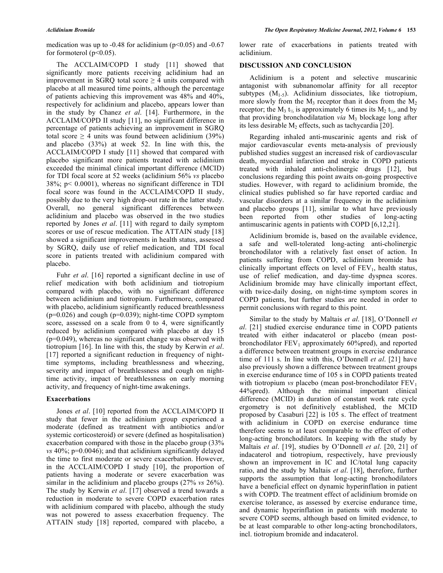medication was up to -0.48 for aclidinium ( $p \le 0.05$ ) and -0.67 for formoterol  $(p<0.05)$ .

 The ACCLAIM/COPD I study [11] showed that significantly more patients receiving aclidinium had an improvement in SGRO total score  $\geq$  4 units compared with placebo at all measured time points, although the percentage of patients achieving this improvement was 48% and 40%, respectively for aclidinium and placebo, appears lower than in the study by Chanez *et al*. [14]. Furthermore, in the ACCLAIM/COPD II study [11], no significant difference in percentage of patients achieving an improvement in SGRQ total score  $\geq$  4 units was found between aclidinium (39%) and placebo (33%) at week 52. In line with this, the ACCLAIM/COPD I study [11] showed that compared with placebo significant more patients treated with aclidinium exceeded the minimal clinical important difference (MCID) for TDI focal score at 52 weeks (aclidinium 56% *vs* placebo 38%; p< 0.0001), whereas no significant difference in TDI focal score was found in the ACCLAIM/COPD II study, possibly due to the very high drop-out rate in the latter study. Overall, no general significant differences between aclidinium and placebo was observed in the two studies reported by Jones *et al*. [11] with regard to daily symptom scores or use of rescue medication. The ATTAIN study [18] showed a significant improvements in health status, assessed by SGRQ, daily use of relief medication, and TDI focal score in patients treated with aclidinium compared with placebo.

Fuhr *et al.* [16] reported a significant decline in use of relief medication with both aclidinium and tiotropium compared with placebo, with no significant difference between aclidinium and tiotropium. Furthermore, compared with placebo, aclidinium significantly reduced breathlessness  $(p=0.026)$  and cough  $(p=0.039)$ ; night-time COPD symptom score, assessed on a scale from 0 to 4, were significantly reduced by aclidinium compared with placebo at day 15 (p=0.049), whereas no significant change was observed with tiotropium [16]. In line with this, the study by Kerwin *et al*. [17] reported a significant reduction in frequency of nighttime symptoms, including breathlessness and wheezing, severity and impact of breathlessness and cough on nighttime activity, impact of breathlessness on early morning activity, and frequency of night-time awakenings.

### **Exacerbations**

 Jones *et al*. [10] reported from the ACCLAIM/COPD II study that fewer in the aclidinium group experienced a moderate (defined as treatment with antibiotics and/or systemic corticosteroid) or severe (defined as hospitalisation) exacerbation compared with those in the placebo group (33% *vs* 40%; p=0.0046); and that aclidinium significantly delayed the time to first moderate or severe exacerbation. However, in the ACCLAIM/COPD I study [10], the proportion of patients having a moderate or severe exacerbation was similar in the aclidinium and placebo groups (27% *vs* 26%). The study by Kerwin *et al*. [17] observed a trend towards a reduction in moderate to severe COPD exacerbation rates with aclidinium compared with placebo, although the study was not powered to assess exacerbation frequency. The ATTAIN study [18] reported, compared with placebo, a

lower rate of exacerbations in patients treated with aclidinium.

#### **DISCUSSION AND CONCLUSION**

 Aclidinium is a potent and selective muscarinic antagonist with subnanomolar affinity for all receptor subtypes  $(M_{1.5})$ . Aclidinium dissociates, like tiotropium, more slowly from the  $M_3$  receptor than it does from the  $M_2$ receptor; the M<sub>3</sub> t<sub>1/2</sub> is approximately 6 times its M<sub>2</sub> t<sub>1/2</sub>, and by that providing bronchodilatation *via* M<sub>3</sub> blockage long after its less desirable  $M<sub>2</sub>$  effects, such as tachycardia [20].

 Regarding inhaled anti-muscarinic agents and risk of major cardiovascular events meta-analysis of previously published studies suggest an increased risk of cardiovascular death, myocardial infarction and stroke in COPD patients treated with inhaled anti-cholinergic drugs [12], but conclusions regarding this point awaits on-going prospective studies. However, with regard to aclidinium bromide, the clinical studies published so far have reported cardiac and vascular disorders at a similar frequency in the aclidinium and placebo groups [11], similar to what have previously been reported from other studies of long-acting antimuscarinic agents in patients with COPD [6,12,21].

 Aclidinium bromide is, based on the available evidence, a safe and well-tolerated long-acting anti-cholinergic bronchodilator with a relatively fast onset of action. In patients suffering from COPD, aclidinium bromide has clinically important effects on level of  $FEV<sub>1</sub>$ , health status, use of relief medication, and day-time dyspnea scores. Aclidinium bromide may have clinically important effect, with twice-daily dosing, on night-time symptom scores in COPD patients, but further studies are needed in order to permit conclusions with regard to this point.

 Similar to the study by Maltais *et al*. [18], O'Donnell *et al*. [21] studied exercise endurance time in COPD patients treated with either indacaterol or placebo (mean postbronchodilator  $FEV_1$  approximately 60%pred), and reported a difference between treatment groups in exercise endurance time of 111 s. In line with this, O'Donnell *et al*. [21] have also previously shown a difference between treatment groups in exercise endurance time of 105 s in COPD patients treated with tiotropium *vs* placebo (mean post-bronchodilator  $FEV<sub>1</sub>$ 44%pred). Although the minimal important clinical difference (MCID) in duration of constant work rate cycle ergometry is not definitively established, the MCID proposed by Casaburi [22] is 105 s. The effect of treatment with aclidinium in COPD on exercise endurance time therefore seems to at least comparable to the effect of other long-acting bronchodilators. In keeping with the study by Maltais *et al*. [19], studies by O'Donnell *et al*. [20, 21] of indacaterol and tiotropium, respectively, have previously shown an improvement in IC and IC/total lung capacity ratio, and the study by Maltais *et al*. [18], therefore, further supports the assumption that long-acting bronchodilators have a beneficial effect on dynamic hyperinflation in patient s with COPD. The treatment effect of aclidinium bromide on exercise tolerance, as assessed by exercise endurance time, and dynamic hyperinflation in patients with moderate to severe COPD seems, although based on limited evidence, to be at least comparable to other long-acting bronchodilators, incl. tiotropium bromide and indacaterol.